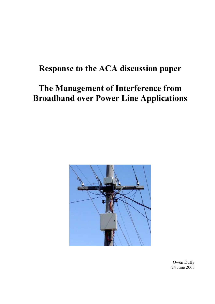# **Response to the ACA discussion paper**

# **The Management of Interference from Broadband over Power Line Applications**



Owen Duffy 24 June 2005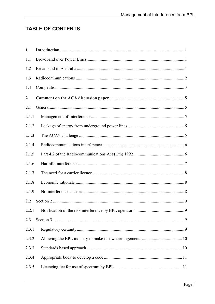# **TABLE OF CONTENTS**

| $\mathbf{1}$     |  |
|------------------|--|
| 1.1              |  |
| 1.2              |  |
| 1.3              |  |
| 1.4              |  |
| $\boldsymbol{2}$ |  |
| 2.1              |  |
| 2.1.1            |  |
| 2.1.2            |  |
| 2.1.3            |  |
| 2.1.4            |  |
| 2.1.5            |  |
| 2.1.6            |  |
| 2.1.7            |  |
| 2.1.8            |  |
| 2.1.9            |  |
| 2.2              |  |
|                  |  |
| 2.3              |  |
| 2.3.1            |  |
| 2.3.2            |  |
| 2.3.3            |  |
| 2.3.4            |  |
| 2.3.5            |  |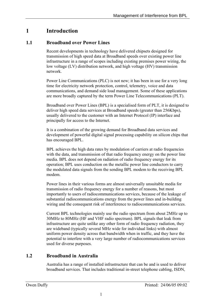# <span id="page-3-0"></span>**1 Introduction**

# **1.1 Broadband over Power Lines**

Recent developments in technology have delivered chipsets designed for transmission of high speed data at Broadband speeds over existing power line infrastructure in a range of scopes including existing premises power wiring, the low voltage (LV) distribution network, and high voltage (HV) transmission network.

Power Line Communications (PLC) is not new; it has been in use for a very long time for electricity network protection, control, telemetry, voice and data communications, and demand side load management. Some of these applications are more broadly captured by the term Power Line Telecommunications (PLT).

Broadband over Power Lines (BPL) is a specialised form of PLT, it is designed to deliver high speed data services at Broadband speeds (greater than 256Kbps), usually delivered to the customer with an Internet Protocol (IP) interface and principally for access to the Internet.

It is a combination of the growing demand for Broadband data services and development of powerful digital signal processing capability on silicon chips that has encouraged BPL.

BPL achieves the high data rates by modulation of carriers at radio frequencies with the data, and transmission of that radio frequency energy on the power line media. BPL does not depend on radiation of radio frequency energy for its operation; BPL uses conduction on the metallic power line conductors to carry the modulated data signals from the sending BPL modem to the receiving BPL modem.

Power lines in their various forms are almost universally unsuitable media for transmission of radio frequency energy for a number of reasons, but most importantly to users of radiocommunications services, because of the leakage of substantial radiocommunications energy from the power lines and in-building wiring and the consequent risk of interference to radiocommunications services.

Current BPL technologies mainly use the radio spectrum from about 2MHz up to 30MHz to 80MHz (HF and VHF radio spectrum). BPL signals that leak from infrastructure are quite unlike any other form of radio frequency radiation, they are wideband (typically several MHz wide for individual links) with almost uniform power density across that bandwidth when in traffic, and they have the potential to interfere with a very large number of radiocommunications services used for diverse purposes.

# **1.2 Broadband in Australia**

Australia has a range of installed infrastructure that can be and is used to deliver broadband services. That includes traditional in-street telephone cabling, ISDN,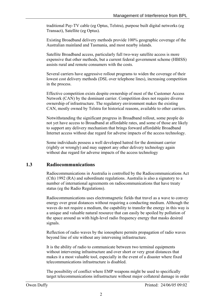<span id="page-4-0"></span>traditional Pay-TV cable (eg Optus, Telstra), purpose built digital networks (eg Transact), Satellite (eg Optus).

Existing Broadband delivery methods provide 100% geographic coverage of the Australian mainland and Tasmania, and most nearby islands.

Satellite Broadband access, particularly full two-way satellite access is more expensive that other methods, but a current federal government scheme (HBISS) assists rural and remote consumers with the costs.

Several carriers have aggressive rollout programs to widen the coverage of their lowest cost delivery methods (DSL over telephone lines), increasing competition in the process.

Effective competition exists despite ownership of most of the Customer Access Network (CAN) by the dominant carrier. Competition does not require diverse ownership of infrastructure. The regulatory environment makes the existing CAN, mostly owned by Telstra for historical reasons, available to other carriers.

Notwithstanding the significant progress in Broadband rollout, some people do not yet have access to Broadband at affordable rates, and some of those are likely to support any delivery mechanism that brings forward affordable Broadband Internet access without due regard for adverse impacts of the access technology.

Some individuals possess a well developed hatred for the dominant carrier (rightly or wrongly) and may support any other delivery technology again without due regard for adverse impacts of the access technology

# **1.3 Radiocommunications**

Radiocommunications in Australia is controlled by the Radiocommunications Act (Cth) 1992 (RA) and subordinate regulations. Australia is also a signatory to a number of international agreements on radiocommunications that have treaty status (eg the Radio Regulations).

Radiocommunications uses electromagnetic fields that travel as a wave to convey energy over great distances without requiring a conducting medium. Although the waves do not require a medium, the capability to transfer the energy in this way is a unique and valuable natural resource that can easily be spoiled by pollution of the space around us with high-level radio frequency energy that masks desired signals.

Reflection of radio waves by the ionosphere permits propagation of radio waves beyond line of site without any intervening infrastructure.

It is the ability of radio to communicate between two terminal equipments without intervening infrastructure and over short or very great distances that makes it a most valuable tool, especially in the event of a disaster where fixed telecommunications infrastructure is disabled.

The possibility of conflict where EMP weapons might be used to specifically target telecommunications infrastructure without major collateral damage in order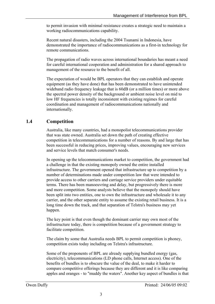<span id="page-5-0"></span>to permit invasion with minimal resistance creates a strategic need to maintain a working radiocommunications capability.

Recent natural disasters, including the 2004 Tsunami in Indonesia, have demonstrated the importance of radiocommunications as a first-in technology for remote communications.

The propagation of radio waves across international boundaries has meant a need for careful international cooperation and administration for a shared approach to management of the resource to the benefit of all.

The expectation of would be BPL operators that they can establish and operate equipment (as they have done) that has been demonstrated to have unintended wideband radio frequency leakage that is 60dB (or a million times) or more above the spectral power density of the background or ambient noise level on mid to low HF frequencies is totally inconsistent with existing regimes for careful coordination and management of radiocommunications nationally and internationally.

# **1.4 Competition**

Australia, like many countries, had a monopolist telecommunications provider that was state owned. Australia set down the path of creating effective competition in telecommunications for a number of reasons. By and large that has been successful in reducing prices, improving values, encouraging new services and service levels that match consumer's needs.

In opening up the telecommunications market to competition, the government had a challenge in that the existing monopoly owned the entire installed infrastructure. The government opened that infrastructure up to competition by a number of determinations made under competition law that were intended to provide access to other carriers and carriage service providers under equitable terms. There has been manoeuvring and delay, but progressively there is more and more competition. Some analysts believe that the monopoly should have been split into two entities, one to own the infrastructure and wholesale it to any carrier, and the other separate entity to assume the existing retail business. It is a long time down the track, and that separation of Telstra's business may yet happen.

The key point is that even though the dominant carrier may own most of the infrastructure today, there is competition because of a government strategy to facilitate competition.

The claim by some that Australia needs BPL to permit competition is phoney, competition exists today including on Telstra's infrastructure.

Some of the proponents of BPL are already supplying bundled energy (gas, electricity), telecommunications (LD phone calls, Internet access). One of the benefits of bundles is to obscure the value of the deal, to make it harder to compare competitive offerings because they are different and it is like comparing apples and oranges - to "muddy the waters". Another key aspect of bundles is that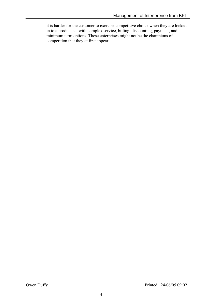it is harder for the customer to exercise competitive choice when they are locked in to a product set with complex service, billing, discounting, payment, and minimum term options. These enterprises might not be the champions of competition that they at first appear.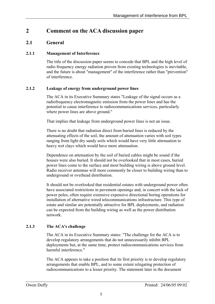# <span id="page-7-0"></span>**2 Comment on the ACA discussion paper**

# **2.1 General**

#### **2.1.1 Management of Interference**

The title of the discussion paper seems to concede that BPL and the high level of radio frequency energy radiation proven from existing technologies is inevitable, and the future is about "management" of the interference rather than "prevention" of interference.

#### **2.1.2 Leakage of energy from underground power lines**

The ACA in its Executive Summary states "Leakage of the signal occurs as a radiofrequency electromagnetic emission from the power lines and has the potential to cause interference to radiocommunications services, particularly where power lines are above ground."

That implies that leakage from underground power lines is not an issue.

There is no doubt that radiation direct from buried lines is reduced by the attenuating effects of the soil, the amount of attenuation varies with soil types ranging from light dry sandy soils which would have very little attenuation to heavy wet clays which would have more attenuation.

Dependence on attenuation by the soil of buried cables might be sound if the houses were also buried. It should not be overlooked that in most cases, buried power lines come to the surface and most building wiring is above ground level. Radio receiver antennas will more commonly be closer to building wiring than to underground or overhead distribution.

It should not be overlooked that residential estates with underground power often have associated restrictions in pavement openings and, in concert with the lack of power poles, often require extensive expensive directional boring operations for installation of alternative wired telecommunications infrastructure. This type of estate and similar are potentially attractive for BPL deployments, and radiation can be expected from the building wiring as well as the power distribution network.

## **2.1.3 The ACA's challenge**

The ACA in its Executive Summary states: "The challenge for the ACA is to develop regulatory arrangements that do not unnecessarily inhibit BPL deployments but, at the same time, protect radiocommunications services from harmful interference."

The ACA appears to take a position that its first priority is to develop regulatory arrangements that enable BPL, and to some extent relegating protection of radiocommunications to a lesser priority. The statement later in the document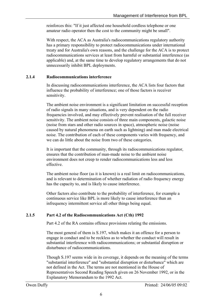<span id="page-8-0"></span>reinforces this: "If it just affected one household cordless telephone or one amateur radio operator then the cost to the community might be small".

With respect, the ACA as Australia's radiocommunications regulatory authority has a primary responsibility to protect radiocommunications under international treaty and for Australia's own reasons, and the challenge for the ACA is to protect radiocommunications services at least from harmful or substantial interference (as applicable) and, at the same time to develop regulatory arrangements that do not unnecessarily inhibit BPL deployments.

#### **2.1.4 Radiocommunications interference**

In discussing radiocommunications interference, the ACA lists four factors that influence the probability of interference; one of those factors is receiver sensitivity.

The ambient noise environment is a significant limitation on successful reception of radio signals in many situations, and is very dependent on the radio frequencies involved, and may effectively prevent realisation of the full receiver sensitivity. The ambient noise consists of three main components, galactic noise (noise from stars and other radio sources in space), atmospheric noise (noise caused by natural phenomena on earth such as lightning) and man made electrical noise. The contribution of each of these components varies with frequency, and we can do little about the noise from two of these categories.

It is important that the community, through its radiocommunications regulator, ensures that the contribution of man-made noise to the ambient noise environment does not creep to render radiocommunications less and less effective.

The ambient noise floor (as it is known) is a real limit on radiocommunications, and is relevant to determination of whether radiation of radio frequency energy has the capacity to, and is likely to cause interference.

Other factors also contribute to the probability of interference, for example a continuous service like BPL is more likely to cause interference than an infrequency intermittent service all other things being equal.

#### **2.1.5 Part 4.2 of the Radiocommunications Act (Cth) 1992**

Part 4.2 of the RA contains offence provisions relating the emissions.

The most general of them is S.197, which makes it an offence for a person to engage in conduct and to be reckless as to whether the conduct will result in substantial interference with radiocommunications; or substantial disruption or disturbance of radiocommunications.

Though S.197 seems wide in its coverage, it depends on the meaning of the terms "substantial interference" and "substantial disruption or disturbance" which are not defined in the Act. The terms are not mentioned in the House of Representatives Second Reading Speech given on 26 November 1992, or in the Explanatory Memorandum to the 1992 Act.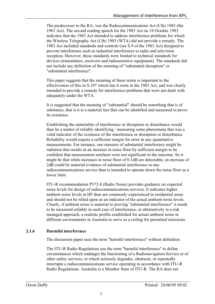<span id="page-9-0"></span>The predecessor to the RA, was the Radiocommunications Act (Cth) 1983 (the 1983 Act). The second reading speech for the 1983 Act on 18 October 1983 indicates that the 1983 Act intended to address interference problems for which the Wireless Telegraphy Act (Cth) 1905 (WTA) did not provide a remedy. The 1983 Act included standards and controls (see S.9 of the 1983 Act) designed to prevent interference such as industrial interference to radio and television reception. However, these standards were limited to technical standards for devices (transmitters, receivers and radiosensitive equipment). The standards did not include any definition of the meaning of "substantial disruption" or "substantial interference".

This paper suggests that the meaning of these terms is important to the effectiveness of this in S.197 which has it roots in the 1983 Act, and was clearly intended to provide a remedy for interference problems that were not dealt with adequately under the WTA.

It is suggested that the meaning of "substantial" should be something that is of substance, that is it is a material fact that can be identified and measured to prove its existence.

Establishing the materiality of interference or disruption or disturbance would then be a matter of reliably identifying / measuring some phenomena that was a valid indicator of the existence of the interference or disruption or disturbance. Reliability would require a sufficient margin for error in any quantitative measurements. For instance, one measure of substantial interference might be radiation that results in an increase in noise floor by sufficient margin to be confident that measurement artefacts were not significant in the outcome. So it might be that while increases in noise floor of 0.1dB are detectable, an increase of 2dB could be material evidence of substantial interference to any radiocommunications service than is intended to operate down the noise floor as a lower limit.

ITU-R recommendation P372-8 (Radio Noise) provides guidance on expected noise levels for design of radiocommunications services. It indicates higher ambient noise levels at HF than are commonly experienced in residential areas and should not be relied upon as an indicator of the actual ambient noise levels. Clearly, if ambient noise is material to proving "substantial interference" it needs to be measured reliably in each case of interference, or alternatively in a risk managed approach, a realistic profile established for actual ambient noise in different environments in Australia to serve as a ceiling for permitted emissions.

## **2.1.6 Harmful interference**

The discussion paper uses the term "harmful interference" without definition.

The ITU-R Radio Regulations use the term "harmful interference" to define circumstances which endanger the functioning of a Radionavigation Service or of other safety services, or which seriously degrades, obstructs, or repeatedly interrupts a radiocommunications service operating in accordance with ITU-R Radio Regulations. Australia is a Member State of ITU-R. The RA does not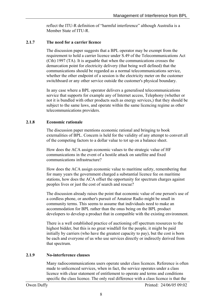reflect the ITU-R definition of "harmful interference" although Australia is a Member State of ITU-R.

#### <span id="page-10-0"></span>**2.1.7 The need for a carrier licence**

The discussion paper suggests that a BPL operator may be exempt from the requirement to hold a carrier licence under S.49 of the Telecommunications Act (Cth) 1997 (TA). It is arguable that when the communications crosses the demarcation point for electricity delivery (that being well defined) that the communications should be regarded as a normal telecommunications service, whether the other endpoint of a session is the electricity meter on the customer switchboard or any other service outside the customer's physical boundary.

In any case where a BPL operator delivers a generalised telecommunications service that supports for example any of Internet access, Telephony (whether or not it is bundled with other products such as energy services,) that they should be subject to the same laws, and operate within the same licencing regime as other telecommunications providers.

#### **2.1.8 Economic rationale**

The discussion paper mentions economic rational and bringing to book externalities of BPL. Concern is held for the validity of any attempt to convert all of the competing factors to a dollar value to tot up on a balance sheet.

How does the ACA assign economic values to the strategic value of HF communications in the event of a hostile attack on satellite and fixed communications infrastructure?

How does the ACA assign economic value to maritime safety, remembering that for many years the government charged a substantial licence fee on maritime stations, how does the ACA offset the opportunity for spectrum charges against peoples lives or just the cost of search and rescue?

The discussion already raises the point that economic value of one person's use of a cordless phone, or another's pursuit of Amateur Radio might be small in community terms. This seems to assume that individuals need to make an accommodation for BPL rather than the onus being on the BPL product developers to develop a product that in compatible with the existing environment.

There is a well established practice of auctioning off spectrum resources to the highest bidder, but this is no great windfall for the people, it might be paid initially by carriers (who have the greatest capacity to pay), but the cost is born be each and everyone of us who use services directly or indirectly derived from that spectrum.

#### **2.1.9 No-interference clauses**

Many radiocommunications users operate under class licences. Reference is often made to unlicenced services, when in fact, the service operates under a class licence with clear statement of entitlement to operate and terms and conditions specific the class licence. The only real difference with a class licence is that the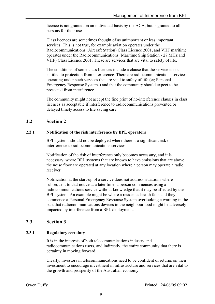<span id="page-11-0"></span>licence is not granted on an individual basis by the ACA, but is granted to all persons for their use.

Class licences are sometimes thought of as unimportant or less important services. This is not true, for example aviation operates under the Radiocommunications (Aircraft Station) Class Licence 2001, and VHF maritime operates under the Radiocommunications (Maritime Ship Station - 27 MHz and VHF) Class Licence 2001. These are services that are vital to safety of life.

The conditions of some class licences include a clause that the service is not entitled to protection from interference. There are radiocommunications services operating under such services that are vital to safety of life (eg Personal Emergency Response Systems) and that the community should expect to be protected from interference.

The community might not accept the fine print of no-interference clauses in class licences as acceptable if interference to radiocommunications prevented or delayed timely access to life saving care.

# **2.2 Section 2**

## **2.2.1 Notification of the risk interference by BPL operators**

BPL systems should not be deployed where there is a significant risk of interference to radiocommunications services.

Notification of the risk of interference only becomes necessary, and it is necessary, where BPL systems that are known to have emissions that are above the noise floor are operated at any location where a person may operate a radio receiver.

Notification at the start-up of a service does not address situations where subsequent to that notice at a later time, a person commences using a radiocommunications service without knowledge that it may be affected by the BPL system. An example might be where a resident's health fails and they commence a Personal Emergency Response System overlooking a warning in the past that radiocommunications devices in the neighbourhood might be adversely impacted by interference from a BPL deployment.

# **2.3 Section 3**

## **2.3.1 Regulatory certainty**

It is in the interests of both telecommunications industry and radiocommunications users, and indirectly, the entire community that there is certainty in moving forward.

Clearly, investors in telecommunications need to be confident of returns on their investment to encourage investment in infrastructure and services that are vital to the growth and prosperity of the Australian economy.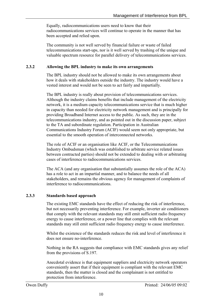<span id="page-12-0"></span>Equally, radiocommunications users need to know that their radiocommunications services will continue to operate in the manner that has been accepted and relied upon.

The community is not well served by financial failure or waste of failed telecommunications start-ups, nor is it well served by trashing of the unique and valuable spectrum resource for parallel delivery of telecommunications services.

#### **2.3.2 Allowing the BPL industry to make its own arrangements**

<span id="page-12-1"></span>The BPL industry should not be allowed to make its own arrangements about how it deals with stakeholders outside the industry. The industry would have a vested interest and would not be seen to act fairly and impartially.

The BPL industry is really about provision of telecommunications services. Although the industry claims benefits that include management of the electricity network, it is a medium capacity telecommunications service that is much higher in capacity than needed for electricity network management and is principally for providing Broadband Internet access to the public. As such, they are in the telecommunications industry, and as pointed out in the discussion paper, subject to the TA and subordinate regulation. Participation in Australian Communications Industry Forum (ACIF) would seem not only appropriate, but essential to the smooth operation of interconnected networks.

The role of ACIF or an organisation like ACIF, or the Telecommunications Industry Ombudsman (which was established to arbitrate service related issues between contracted parties) should not be extended to dealing with or arbitrating cases of interference to radiocommunications services.

The ACA (and any organisation that substantially assumes the role of the ACA) has a role to act in an impartial manner, and to balance the needs of all stakeholders, and remains the obvious agency for management of complaints of interference to radiocommunications.

#### **2.3.3 Standards based approach**

The existing EMC standards have the effect of reducing the risk of interference, but not necessarily preventing interference. For example, inverter air conditioners that comply with the relevant standards may still emit sufficient radio frequency energy to cause interference, or a power line that complies with the relevant standards may still emit sufficient radio frequency energy to cause interference.

Whilst the existence of the standards reduces the risk and level of interference it does not ensure no-interference.

Nothing in the RA suggests that compliance with EMC standards gives any relief from the provisions of S.197.

Anecdotal evidence is that equipment suppliers and electricity network operators conveniently assert that if their equipment is compliant with the relevant EMC standards, then the matter is closed and the complainant is not entitled to protection from interference.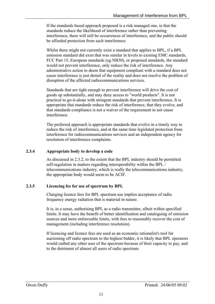<span id="page-13-0"></span>If the standards based approach proposed is a risk managed one, ie that the standards reduce the likelihood of interference rather than preventing interference, there will still be occurrences of interference, and the public should be afforded protection from such interference.

Whilst there might not currently exist a standard that applies to BPL, if a BPL emission standard did exist that was similar in levels to existing EMC standards, FCC Part 15, European standards (eg NB30), or proposed standards, the standard would not prevent interference, only reduce the risk of interference. Any administrative action to deem that equipment compliant with a standard does not cause interference is just denial of the reality and does not resolve the problem of disruption of the affected radiocommunications services.

Standards that are tight enough to prevent interference will drive the cost of goods up substantially, and may deny access to "world products". It is not practical to go-it-alone with stringent standards that prevent interference. It is appropriate that standards reduce the risk of interference, that they evolve, and that standards compliance is not a waiver of the requirement to not cause interference.

The preferred approach is appropriate standards that evolve in a timely way to reduce the risk of interference, and at the same time legislated protection from interference for radiocommunications services and an independent agency for resolution of interference complaints.

#### **2.3.4 Appropriate body to develop a code**

As discussed in [2.3.2,](#page-12-1) to the extent that the BPL industry should be permitted self-regulation in matters regarding interoperability within the BPL / telecommunications industry, which is really the telecommunications industry, the appropriate body would seem to be ACIF.

#### **2.3.5 Licencing fee for use of spectrum by BPL**

Charging licence fees for BPL spectrum use implies acceptance of radio frequency energy radiation that is material in nature.

It is, in a sense, authorising BPL as a radio transmitter, albeit within specified limits. It may have the benefit of better identification and cataloguing of emission sources and more enforceable limits, with fees to reasonably recover the cost of management (including interference resolution).

If licencing and licence fees are used as an economic rationalist's tool for auctioning off radio spectrum to the highest bidder, it is likely that BPL operators would outbid any other user of the spectrum because of their capacity to pay, and to the detriment of almost all users of radio spectrum.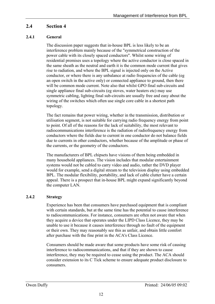# <span id="page-14-0"></span>**2.4 Section 4**

## **2.4.1 General**

The discussion paper suggests that in-house BPL is less likely to be an interference problem mainly because of the "symmetrical construction of the power cable with its closely spaced conductors". Whilst some wiring of residential premises uses a topology where the active conductor is close spaced in the same sheath as the neutral and earth it is the common mode current that gives rise to radiation, and where the BPL signal is injected only on the Active conductor, or where there is any unbalance at radio frequencies of the cable (eg an open switch in the active only) or connected appliance to ground, then there will be common mode current. Note also that whilst GPO final sub-circuits and single appliance final sub-circuits (eg stoves, water heaters etc) may use symmetric cabling, lighting final sub-circuits are usually free and easy about the wiring of the switches which often use single core cable in a shortest path topology.

The fact remains that power wiring, whether in the transmission, distribution or utilisation segment, is not suitable for carrying radio frequency energy from point to point. Of all of the reasons for the lack of suitability, the most relevant to radiocommunications interference is the radiation of radiofrequency energy from conductors where the fields due to current in one conductor do not balance fields due to currents in other conductors, whether because of the amplitude or phase of the currents, or the geometry of the conductors.

The manufacturers of BPL chipsets have visions of them being embedded in many household appliances. The vision includes that modular entertainment systems would not be cabled to carry video and audio, rather the DVD player would for example, send a digital stream to the television display using embedded BPL. The modular flexibility, portability, and lack of cable clutter have a certain appeal. There is a prospect that in-house BPL might expand significantly beyond the computer LAN.

## **2.4.2 Strategy**

Experience has been that consumers have purchased equipment that is compliant with certain standards, but at the same time has the potential to cause interference to radiocommunications. For instance, consumers are often not aware that when they acquire a device that operates under the LIPD Class Licence, they may be unable to use it because it causes interference through no fault of the equipment or their own. They may reasonably see this as unfair, and obtain little comfort after purchase with the fine print in the ACA's Class Licence.

Consumers should be made aware that some products have some risk of causing interference to radiocommunications, and that if they are shown to cause interference, they may be required to cease using the product. The ACA should consider extension to its C Tick scheme to ensure adequate product disclosure to consumers.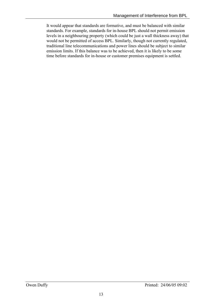It would appear that standards are formative, and must be balanced with similar standards. For example, standards for in-house BPL should not permit emission levels in a neighbouring property (which could be just a wall thickness away) that would not be permitted of access BPL. Similarly, though not currently regulated, traditional line telecommunications and power lines should be subject to similar emission limits. If this balance was to be achieved, then it is likely to be some time before standards for in-house or customer premises equipment is settled.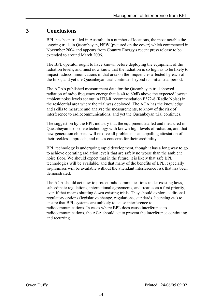# <span id="page-16-0"></span>**3 Conclusions**

BPL has been trialled in Australia in a number of locations, the most notable the ongoing trials in Queanbeyan, NSW (pictured on the cover) which commenced in November 2004 and appears from Country Energy's recent press release to be extended to around March 2006.

The BPL operator ought to have known before deploying the equipment of the radiation levels, and must now know that the radiation is so high as to be likely to impact radiocommunications in that area on the frequencies affected by each of the links, and yet the Queanbeyan trial continues beyond its initial trial period.

The ACA's published measurement data for the Queanbeyan trial showed radiation of radio frequency energy that is 40 to 60dB above the expected lowest ambient noise levels set out in ITU-R recommendation P372-8 (Radio Noise) in the residential area where the trial was deployed. The ACA has the knowledge and skills to measure and analyse the measurements, to know of the risk of interference to radiocommunications, and yet the Queanbeyan trial continues.

The suggestion by the BPL industry that the equipment trialled and measured in Queanbeyan is obsolete technology with known high levels of radiation, and that new generation chipsets will resolve all problems is an appalling attestation of their reckless approach, and raises concerns for their credibility.

BPL technology is undergoing rapid development, though it has a long way to go to achieve operating radiation levels that are safely no worse than the ambient noise floor. We should expect that in the future, it is likely that safe BPL technologies will be available, and that many of the benefits of BPL, especially in-premises will be available without the attendant interference risk that has been demonstrated.

The ACA should act now to protect radiocommunications under existing laws, subordinate regulations, international agreements, and treaties as a first priority, even if that means shutting down existing trials. They should explore additional regulatory options (legislative change, regulations, standards, licencing etc) to ensure that BPL systems are unlikely to cause interference to radiocommunications. In cases where BPL does cause interference to radiocommunications, the ACA should act to prevent the interference continuing and recurring.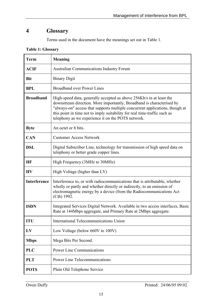# <span id="page-17-0"></span>**4 Glossary**

Terms used in the document have the meanings set out in [Table 1.](#page-17-1)

<span id="page-17-1"></span>

| <b>Term</b>         | <b>Meaning</b>                                                                                                                                                                                                                                                                                                                                                   |
|---------------------|------------------------------------------------------------------------------------------------------------------------------------------------------------------------------------------------------------------------------------------------------------------------------------------------------------------------------------------------------------------|
| <b>ACIF</b>         | <b>Australian Communications Industry Forum</b>                                                                                                                                                                                                                                                                                                                  |
| <b>Bit</b>          | <b>Binary Digit</b>                                                                                                                                                                                                                                                                                                                                              |
| <b>BPL</b>          | <b>Broadband over Power Lines</b>                                                                                                                                                                                                                                                                                                                                |
| <b>Broadband</b>    | High-speed data, generally accepted as above 256Kb/s in at least the<br>downstream direction. More importantly, Broadband is characterised by<br>"always-on" access that supports multiple concurrent applications, though at<br>this point in time not to imply suitability for real time-traffic such as<br>telephony as we experience it on the POTS network. |
| <b>Byte</b>         | An octet or 8 bits.                                                                                                                                                                                                                                                                                                                                              |
| <b>CAN</b>          | <b>Customer Access Network</b>                                                                                                                                                                                                                                                                                                                                   |
| <b>DSL</b>          | Digital Subscriber Line, technology for transmission of high speed data on<br>telephony or better grade copper lines.                                                                                                                                                                                                                                            |
| HF                  | High Frequency (3MHz to 30MHz)                                                                                                                                                                                                                                                                                                                                   |
| HV                  | High Voltage (higher than LV)                                                                                                                                                                                                                                                                                                                                    |
| <b>Interference</b> | Interference to, or with radiocommunications that is attributable, whether<br>wholly or partly and whether directly or indirectly, to an emission of<br>electromagnetic energy by a device (from the Radiocommunications Act<br>(Cth) 1992.                                                                                                                      |
| <b>ISDN</b>         | Integrated Services Digital Network. Available in two access interfaces, Basic<br>Rate at 144Mbps aggregate, and Primary Rate at 2Mbps aggregate.                                                                                                                                                                                                                |
| <b>ITU</b>          | International Telecommunications Union                                                                                                                                                                                                                                                                                                                           |
| LV                  | Low Voltage (below 660V to 100V)                                                                                                                                                                                                                                                                                                                                 |
| <b>Mbps</b>         | Mega Bits Per Second.                                                                                                                                                                                                                                                                                                                                            |
| <b>PLC</b>          | <b>Power Line Communications</b>                                                                                                                                                                                                                                                                                                                                 |
| <b>PLT</b>          | <b>Power Line Telecommunications</b>                                                                                                                                                                                                                                                                                                                             |
| <b>POTS</b>         | Plain Old Telephone Service                                                                                                                                                                                                                                                                                                                                      |